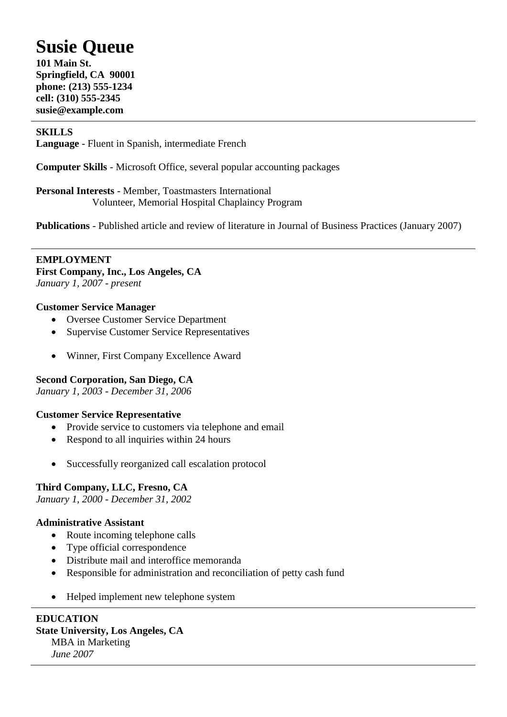# **Susie Queue**

**101 Main St. Springfield, CA 90001 phone: (213) 555-1234 cell: (310) 555-2345 susie@example.com**

## **SKILLS**

**Language** - Fluent in Spanish, intermediate French

**Computer Skills** - Microsoft Office, several popular accounting packages

**Personal Interests** - Member, Toastmasters International Volunteer, Memorial Hospital Chaplaincy Program

**Publications** - Published article and review of literature in Journal of Business Practices (January 2007)

**EMPLOYMENT First Company, Inc., Los Angeles, CA** *January 1, 2007 - present*

## **Customer Service Manager**

- Oversee Customer Service Department
- Supervise Customer Service Representatives
- Winner, First Company Excellence Award

## **Second Corporation, San Diego, CA**

*January 1, 2003 - December 31, 2006*

## **Customer Service Representative**

- Provide service to customers via telephone and email
- Respond to all inquiries within 24 hours
- Successfully reorganized call escalation protocol

## **Third Company, LLC, Fresno, CA**

*January 1, 2000 - December 31, 2002*

#### **Administrative Assistant**

- Route incoming telephone calls
- Type official correspondence
- Distribute mail and interoffice memoranda
- Responsible for administration and reconciliation of petty cash fund
- Helped implement new telephone system

## **EDUCATION**

#### **State University, Los Angeles, CA**

MBA in Marketing *June 2007*